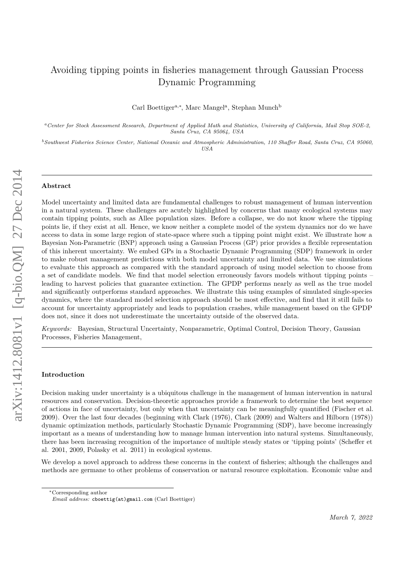# Avoiding tipping points in fisheries management through Gaussian Process Dynamic Programming

Carl Boettiger<sup>a,∗</sup>, Marc Mangel<sup>a</sup>, Stephan Munch<sup>b</sup>

*<sup>a</sup>Center for Stock Assessment Research, Department of Applied Math and Statistics, University of California, Mail Stop SOE-2, Santa Cruz, CA 95064, USA*

*<sup>b</sup>Southwest Fisheries Science Center, National Oceanic and Atmospheric Administration, 110 Shaffer Road, Santa Cruz, CA 95060, USA*

#### **Abstract**

Model uncertainty and limited data are fundamental challenges to robust management of human intervention in a natural system. These challenges are acutely highlighted by concerns that many ecological systems may contain tipping points, such as Allee population sizes. Before a collapse, we do not know where the tipping points lie, if they exist at all. Hence, we know neither a complete model of the system dynamics nor do we have access to data in some large region of state-space where such a tipping point might exist. We illustrate how a Bayesian Non-Parametric (BNP) approach using a Gaussian Process (GP) prior provides a flexible representation of this inherent uncertainty. We embed GPs in a Stochastic Dynamic Programming (SDP) framework in order to make robust management predictions with both model uncertainty and limited data. We use simulations to evaluate this approach as compared with the standard approach of using model selection to choose from a set of candidate models. We find that model selection erroneously favors models without tipping points – leading to harvest policies that guarantee extinction. The GPDP performs nearly as well as the true model and significantly outperforms standard approaches. We illustrate this using examples of simulated single-species dynamics, where the standard model selection approach should be most effective, and find that it still fails to account for uncertainty appropriately and leads to population crashes, while management based on the GPDP does not, since it does not underestimate the uncertainty outside of the observed data.

*Keywords:* Bayesian, Structural Uncertainty, Nonparametric, Optimal Control, Decision Theory, Gaussian Processes, Fisheries Management,

# **Introduction**

Decision making under uncertainty is a ubiquitous challenge in the management of human intervention in natural resources and conservation. Decision-theoretic approaches provide a framework to determine the best sequence of actions in face of uncertainty, but only when that uncertainty can be meaningfully quantified (Fischer et al. 2009). Over the last four decades (beginning with Clark (1976), Clark (2009) and Walters and Hilborn (1978)) dynamic optimization methods, particularly Stochastic Dynamic Programming (SDP), have become increasingly important as a means of understanding how to manage human intervention into natural systems. Simultaneously, there has been increasing recognition of the importance of multiple steady states or 'tipping points' (Scheffer et al. 2001, 2009, Polasky et al. 2011) in ecological systems.

We develop a novel approach to address these concerns in the context of fisheries; although the challenges and methods are germane to other problems of conservation or natural resource exploitation. Economic value and

<sup>∗</sup>Corresponding author

*Email address:* cboettig(at)gmail.com (Carl Boettiger)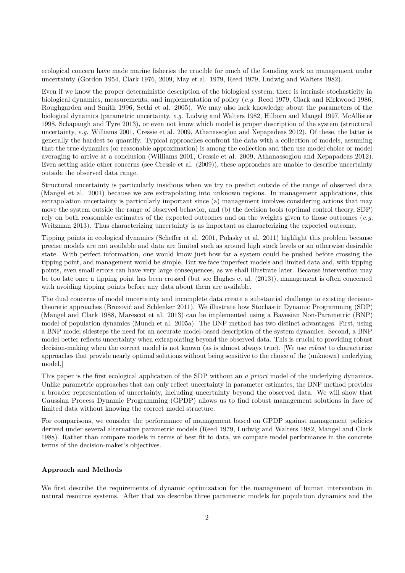ecological concern have made marine fisheries the crucible for much of the founding work on management under uncertainty (Gordon 1954, Clark 1976, 2009, May et al. 1979, Reed 1979, Ludwig and Walters 1982).

Even if we know the proper deterministic description of the biological system, there is intrinsic stochasticity in biological dynamics, measurements, and implementation of policy (*e.g.* Reed 1979, Clark and Kirkwood 1986, Roughgarden and Smith 1996, Sethi et al. 2005). We may also lack knowledge about the parameters of the biological dynamics (parametric uncertainty, *e.g.* Ludwig and Walters 1982, Hilborn and Mangel 1997, McAllister 1998, Schapaugh and Tyre 2013), or even not know which model is proper description of the system (structural uncertainty, *e.g.* Williams 2001, Cressie et al. 2009, Athanassoglou and Xepapadeas 2012). Of these, the latter is generally the hardest to quantify. Typical approaches confront the data with a collection of models, assuming that the true dynamics (or reasonable approximation) is among the collection and then use model choice or model averaging to arrive at a conclusion (Williams 2001, Cressie et al. 2009, Athanassoglou and Xepapadeas 2012). Even setting aside other concerns (see Cressie et al. (2009)), these approaches are unable to describe uncertainty outside the observed data range.

Structural uncertainty is particularly insidious when we try to predict outside of the range of observed data (Mangel et al. 2001) because we are extrapolating into unknown regions. In management applications, this extrapolation uncertainty is particularly important since (a) management involves considering actions that may move the system outside the range of observed behavior, and (b) the decision tools (optimal control theory, SDP) rely on both reasonable estimates of the expected outcomes and on the weights given to those outcomes (*e.g.* Weitzman 2013). Thus characterizing uncertainty is as important as characterizing the expected outcome.

Tipping points in ecological dynamics (Scheffer et al. 2001, Polasky et al. 2011) highlight this problem because precise models are not available and data are limited such as around high stock levels or an otherwise desirable state. With perfect information, one would know just how far a system could be pushed before crossing the tipping point, and management would be simple. But we face imperfect models and limited data and, with tipping points, even small errors can have very large consequences, as we shall illustrate later. Because intervention may be too late once a tipping point has been crossed (but see Hughes et al. (2013)), management is often concerned with avoiding tipping points before any data about them are available.

The dual concerns of model uncertainty and incomplete data create a substantial challenge to existing decisiontheoretic approaches (Brozović and Schlenker 2011). We illustrate how Stochastic Dynamic Programming (SDP) (Mangel and Clark 1988, Marescot et al. 2013) can be implemented using a Bayesian Non-Parametric (BNP) model of population dynamics (Munch et al. 2005a). The BNP method has two distinct advantages. First, using a BNP model sidesteps the need for an accurate model-based description of the system dynamics. Second, a BNP model better reflects uncertainty when extrapolating beyond the observed data. This is crucial to providing robust decision-making when the correct model is not known (as is almost always true). [We use *robust* to characterize approaches that provide nearly optimal solutions without being sensitive to the choice of the (unknown) underlying model.]

This paper is the first ecological application of the SDP without an *a priori* model of the underlying dynamics. Unlike parametric approaches that can only reflect uncertainty in parameter estimates, the BNP method provides a broader representation of uncertainty, including uncertainty beyond the observed data. We will show that Gaussian Process Dynamic Programming (GPDP) allows us to find robust management solutions in face of limited data without knowing the correct model structure.

For comparisons, we consider the performance of management based on GPDP against management policies derived under several alternative parametric models (Reed 1979, Ludwig and Walters 1982, Mangel and Clark 1988). Rather than compare models in terms of best fit to data, we compare model performance in the concrete terms of the decision-maker's objectives.

# **Approach and Methods**

We first describe the requirements of dynamic optimization for the management of human intervention in natural resource systems. After that we describe three parametric models for population dynamics and the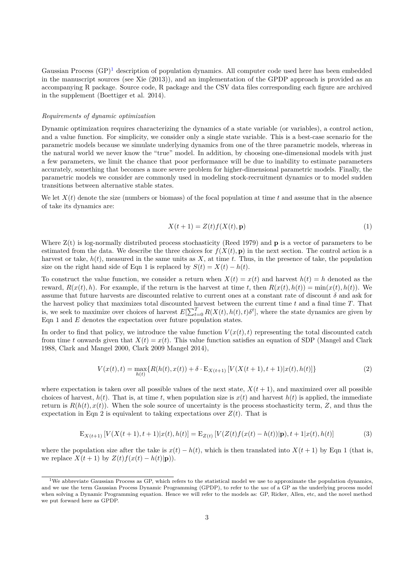Gaussian Process  $(GP)^1$  $(GP)^1$  description of population dynamics. All computer code used here has been embedded in the manuscript sources (see Xie (2013)), and an implementation of the GPDP approach is provided as an accompanying R package. Source code, R package and the CSV data files corresponding each figure are archived in the supplement (Boettiger et al. 2014).

#### *Requirements of dynamic optimization*

Dynamic optimization requires characterizing the dynamics of a state variable (or variables), a control action, and a value function. For simplicity, we consider only a single state variable. This is a best-case scenario for the parametric models because we simulate underlying dynamics from one of the three parametric models, whereas in the natural world we never know the "true" model. In addition, by choosing one-dimensional models with just a few parameters, we limit the chance that poor performance will be due to inability to estimate parameters accurately, something that becomes a more severe problem for higher-dimensional parametric models. Finally, the parametric models we consider are commonly used in modeling stock-recruitment dynamics or to model sudden transitions between alternative stable states.

We let  $X(t)$  denote the size (numbers or biomass) of the focal population at time  $t$  and assume that in the absence of take its dynamics are:

$$
X(t+1) = Z(t)f(X(t), \mathbf{p})
$$
\n<sup>(1)</sup>

Where  $Z(t)$  is log-normally distributed process stochasticity (Reed 1979) and **p** is a vector of parameters to be estimated from the data. We describe the three choices for  $f(X(t), \mathbf{p})$  in the next section. The control action is a harvest or take,  $h(t)$ , measured in the same units as  $X$ , at time  $t$ . Thus, in the presence of take, the population size on the right hand side of Eqn 1 is replaced by  $S(t) = X(t) - h(t)$ .

To construct the value function, we consider a return when  $X(t) = x(t)$  and harvest  $h(t) = h$  denoted as the reward,  $R(x(t),h)$ . For example, if the return is the harvest at time *t*, then  $R(x(t),h(t)) = \min(x(t),h(t))$ . We assume that future harvests are discounted relative to current ones at a constant rate of discount *δ* and ask for the harvest policy that maximizes total discounted harvest between the current time *t* and a final time *T*. That is, we seek to maximize over choices of harvest  $E[\sum_{t=0}^{T} R(X(t), h(t), t)\delta^t]$ , where the state dynamics are given by Eqn 1 and *E* denotes the expectation over future population states.

In order to find that policy, we introduce the value function  $V(x(t), t)$  representing the total discounted catch from time *t* onwards given that  $X(t) = x(t)$ . This value function satisfies an equation of SDP (Mangel and Clark 1988, Clark and Mangel 2000, Clark 2009 Mangel 2014),

$$
V(x(t),t) = \max_{h(t)} \{ R(h(t),x(t)) + \delta \cdot \mathbf{E}_{X(t+1)} \left[ V(X(t+1),t+1)|x(t),h(t)] \} \tag{2}
$$

where expectation is taken over all possible values of the next state,  $X(t + 1)$ , and maximized over all possible choices of harvest,  $h(t)$ . That is, at time *t*, when population size is  $x(t)$  and harvest  $h(t)$  is applied, the immediate return is  $R(h(t), x(t))$ . When the sole source of uncertainty is the process stochasticity term, *Z*, and thus the expectation in Eqn 2 is equivalent to taking expectations over  $Z(t)$ . That is

$$
\mathcal{E}_{X(t+1)}\left[V(X(t+1),t+1)|x(t),h(t)\right] = \mathcal{E}_{Z(t)}\left[V(Z(t)f(x(t)-h(t))|{\bf p}),t+1|x(t),h(t)\right] \tag{3}
$$

where the population size after the take is  $x(t) - h(t)$ , which is then translated into  $X(t + 1)$  by Eqn 1 (that is, we replace  $X(t+1)$  by  $Z(t)f(x(t)-h(t)|\mathbf{p})$ .

<span id="page-2-0"></span><sup>&</sup>lt;sup>1</sup>We abbreviate Gaussian Process as GP, which refers to the statistical model we use to approximate the population dynamics, and we use the term Gaussian Process Dynamic Programming (GPDP), to refer to the *use* of a GP as the underlying process model when solving a Dynamic Programming equation. Hence we will refer to the models as: GP, Ricker, Allen, etc, and the novel method we put forward here as GPDP.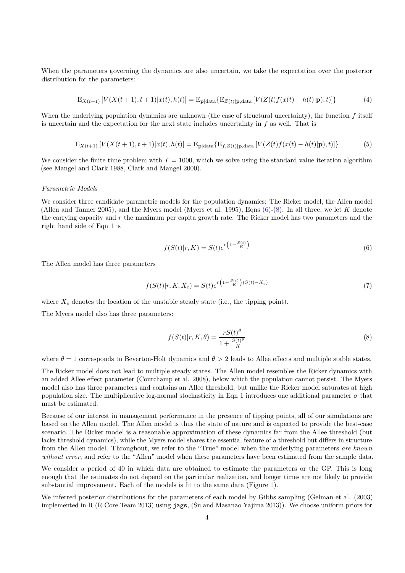When the parameters governing the dynamics are also uncertain, we take the expectation over the posterior distribution for the parameters:

$$
E_{X(t+1)}[V(X(t+1),t+1)|x(t),h(t)] = E_{\mathbf{p}|\text{data}}\{E_{Z(t)|\mathbf{p},\text{data}}[V(Z(t)f(x(t)-h(t)|\mathbf{p}),t)]\}
$$
(4)

When the underlying population dynamics are unknown (the case of structural uncertainty), the function f itself is uncertain and the expectation for the next state includes uncertainty in *f* as well. That is

$$
E_{X(t+1)}[V(X(t+1),t+1)|x(t),h(t)] = E_{\mathbf{p}|\text{data}}\{E_{f,Z(t)|\mathbf{p},\text{data}}[V(Z(t)f(x(t)-h(t)|\mathbf{p}),t)]\}
$$
(5)

We consider the finite time problem with  $T = 1000$ , which we solve using the standard value iteration algorithm (see Mangel and Clark 1988, Clark and Mangel 2000).

#### *Parametric Models*

We consider three candidate parametric models for the population dynamics: The Ricker model, the Allen model (Allen and Tanner 2005), and the Myers model (Myers et al. 1995), Eqns [\(6\)](#page-3-0)-[\(8\)](#page-3-1). In all three, we let *K* denote the carrying capacity and *r* the maximum per capita growth rate. The Ricker model has two parameters and the right hand side of Eqn 1 is

<span id="page-3-0"></span>
$$
f(S(t)|r, K) = S(t)e^{r(1-\frac{S(t)}{K})}
$$
\n(6)

The Allen model has three parameters

$$
f(S(t)|r, K, X_c) = S(t)e^{r\left(1 - \frac{S(t)}{K}\right)(S(t) - X_c)}
$$
\n(7)

where  $X_c$  denotes the location of the unstable steady state (i.e., the tipping point).

The Myers model also has three parameters:

<span id="page-3-1"></span>
$$
f(S(t)|r, K, \theta) = \frac{rS(t)^{\theta}}{1 + \frac{S(t)^{\theta}}{K}}
$$
\n(8)

where  $\theta = 1$  corresponds to Beverton-Holt dynamics and  $\theta > 2$  leads to Allee effects and multiple stable states.

The Ricker model does not lead to multiple steady states. The Allen model resembles the Ricker dynamics with an added Allee effect parameter (Courchamp et al. 2008), below which the population cannot persist. The Myers model also has three parameters and contains an Allee threshold, but unlike the Ricker model saturates at high population size. The multiplicative log-normal stochasticity in Eqn 1 introduces one additional parameter  $\sigma$  that must be estimated.

Because of our interest in management performance in the presence of tipping points, all of our simulations are based on the Allen model. The Allen model is thus the state of nature and is expected to provide the best-case scenario. The Ricker model is a reasonable approximation of these dynamics far from the Allee threshold (but lacks threshold dynamics), while the Myers model shares the essential feature of a threshold but differs in structure from the Allen model. Throughout, we refer to the "True" model when the underlying parameters *are known without error*, and refer to the "Allen" model when these parameters have been estimated from the sample data.

We consider a period of 40 in which data are obtained to estimate the parameters or the GP. This is long enough that the estimates do not depend on the particular realization, and longer times are not likely to provide substantial improvement. Each of the models is fit to the same data (Figure 1).

We inferred posterior distributions for the parameters of each model by Gibbs sampling (Gelman et al. (2003) implemented in R (R Core Team 2013) using jags, (Su and Masanao Yajima 2013)). We choose uniform priors for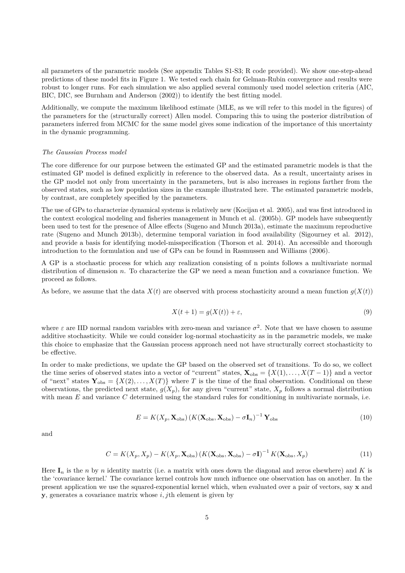all parameters of the parametric models (See appendix Tables S1-S3; R code provided). We show one-step-ahead predictions of these model fits in Figure 1. We tested each chain for Gelman-Rubin convergence and results were robust to longer runs. For each simulation we also applied several commonly used model selection criteria (AIC, BIC, DIC, see Burnham and Anderson (2002)) to identify the best fitting model.

Additionally, we compute the maximum likelihood estimate (MLE, as we will refer to this model in the figures) of the parameters for the (structurally correct) Allen model. Comparing this to using the posterior distribution of parameters inferred from MCMC for the same model gives some indication of the importance of this uncertainty in the dynamic programming.

# *The Gaussian Process model*

The core difference for our purpose between the estimated GP and the estimated parametric models is that the estimated GP model is defined explicitly in reference to the observed data. As a result, uncertainty arises in the GP model not only from uncertainty in the parameters, but is also increases in regions farther from the observed states, such as low population sizes in the example illustrated here. The estimated parametric models, by contrast, are completely specified by the parameters.

The use of GPs to characterize dynamical systems is relatively new (Kocijan et al. 2005), and was first introduced in the context ecological modeling and fisheries management in Munch et al. (2005b). GP models have subsequently been used to test for the presence of Allee effects (Sugeno and Munch 2013a), estimate the maximum reproductive rate (Sugeno and Munch 2013b), determine temporal variation in food availability (Sigourney et al. 2012), and provide a basis for identifying model-misspecification (Thorson et al. 2014). An accessible and thorough introduction to the formulation and use of GPs can be found in Rasmussen and Williams (2006).

A GP is a stochastic process for which any realization consisting of n points follows a multivariate normal distribution of dimension *n*. To characterize the GP we need a mean function and a covariance function. We proceed as follows.

As before, we assume that the data  $X(t)$  are observed with process stochasticity around a mean function  $g(X(t))$ 

$$
X(t+1) = g(X(t)) + \varepsilon,\tag{9}
$$

where  $\varepsilon$  are IID normal random variables with zero-mean and variance  $\sigma^2$ . Note that we have chosen to assume additive stochasticity. While we could consider log-normal stochasticity as in the parametric models, we make this choice to emphasize that the Gaussian process approach need not have structurally correct stochasticity to be effective.

In order to make predictions, we update the GP based on the observed set of transitions. To do so, we collect the time series of observed states into a vector of "current" states,  $\mathbf{X}_{obs} = \{X(1), \ldots, X(T-1)\}\$  and a vector of "next" states  $\mathbf{Y}_{obs} = \{X(2), \ldots, X(T)\}\$  where *T* is the time of the final observation. Conditional on these observations, the predicted next state,  $g(X_p)$ , for any given "current" state,  $X_p$  follows a normal distribution with mean *E* and variance *C* determined using the standard rules for conditioning in multivariate normals, i.e.

$$
E = K(X_p, \mathbf{X}_{obs}) \left( K(\mathbf{X}_{obs}, \mathbf{X}_{obs}) - \sigma \mathbf{I}_n \right)^{-1} \mathbf{Y}_{obs}
$$
(10)

and

$$
C = K(X_p, X_p) - K(X_p, \mathbf{X}_{\text{obs}}) (K(\mathbf{X}_{\text{obs}}, \mathbf{X}_{\text{obs}}) - \sigma \mathbf{I})^{-1} K(\mathbf{X}_{\text{obs}}, X_p)
$$
(11)

Here  $I_n$  is the *n* by *n* identity matrix (i.e. a matrix with ones down the diagonal and zeros elsewhere) and K is the 'covariance kernel.' The covariance kernel controls how much influence one observation has on another. In the present application we use the squared-exponential kernel which, when evaluated over a pair of vectors, say **x** and **y**, generates a covariance matrix whose *i, j*th element is given by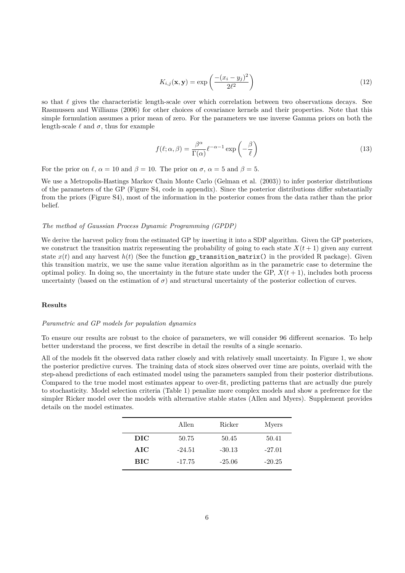$$
K_{i,j}(\mathbf{x}, \mathbf{y}) = \exp\left(\frac{-(x_i - y_j)^2}{2\ell^2}\right)
$$
\n(12)

so that  $\ell$  gives the characteristic length-scale over which correlation between two observations decays. See Rasmussen and Williams (2006) for other choices of covariance kernels and their properties. Note that this simple formulation assumes a prior mean of zero. For the parameters we use inverse Gamma priors on both the length-scale  $\ell$  and  $\sigma$ , thus for example

$$
f(\ell; \alpha, \beta) = \frac{\beta^{\alpha}}{\Gamma(\alpha)} \ell^{-\alpha - 1} \exp\left(-\frac{\beta}{\ell}\right)
$$
 (13)

For the prior on  $\ell$ ,  $\alpha = 10$  and  $\beta = 10$ . The prior on  $\sigma$ ,  $\alpha = 5$  and  $\beta = 5$ .

We use a Metropolis-Hastings Markov Chain Monte Carlo (Gelman et al. (2003)) to infer posterior distributions of the parameters of the GP (Figure S4, code in appendix). Since the posterior distributions differ substantially from the priors (Figure S4), most of the information in the posterior comes from the data rather than the prior belief.

# *The method of Gaussian Process Dynamic Programming (GPDP)*

We derive the harvest policy from the estimated GP by inserting it into a SDP algorithm. Given the GP posteriors, we construct the transition matrix representing the probability of going to each state  $X(t + 1)$  given any current state  $x(t)$  and any harvest  $h(t)$  (See the function  $gp_{\text{transition\_matrix}}($ ) in the provided R package). Given this transition matrix, we use the same value iteration algorithm as in the parametric case to determine the optimal policy. In doing so, the uncertainty in the future state under the GP,  $X(t + 1)$ , includes both process uncertainty (based on the estimation of  $\sigma$ ) and structural uncertainty of the posterior collection of curves.

# **Results**

# *Parametric and GP models for population dynamics*

To ensure our results are robust to the choice of parameters, we will consider 96 different scenarios. To help better understand the process, we first describe in detail the results of a single scenario.

All of the models fit the observed data rather closely and with relatively small uncertainty. In Figure 1, we show the posterior predictive curves. The training data of stock sizes observed over time are points, overlaid with the step-ahead predictions of each estimated model using the parameters sampled from their posterior distributions. Compared to the true model most estimates appear to over-fit, predicting patterns that are actually due purely to stochasticity. Model selection criteria (Table 1) penalize more complex models and show a preference for the simpler Ricker model over the models with alternative stable states (Allen and Myers). Supplement provides details on the model estimates.

|            | Allen    | Ricker   | Myers    |
|------------|----------|----------|----------|
| DIC        | 50.75    | 50.45    | 50.41    |
| AIC        | $-24.51$ | $-30.13$ | $-27.01$ |
| <b>BIC</b> | $-17.75$ | $-25.06$ | $-20.25$ |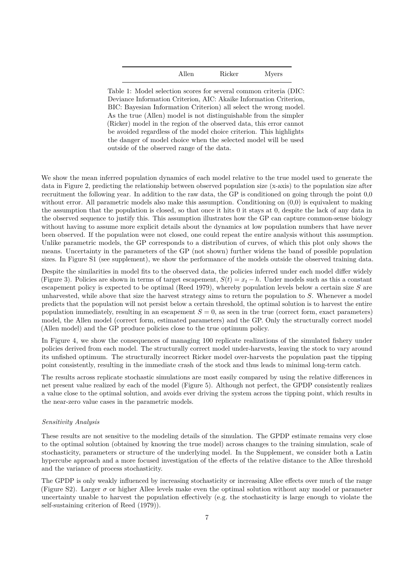| Allen | Ricker | <b>Myers</b> |
|-------|--------|--------------|
|       |        |              |

Table 1: Model selection scores for several common criteria (DIC: Deviance Information Criterion, AIC: Akaike Information Criterion, BIC: Bayesian Information Criterion) all select the wrong model. As the true (Allen) model is not distinguishable from the simpler (Ricker) model in the region of the observed data, this error cannot be avoided regardless of the model choice criterion. This highlights the danger of model choice when the selected model will be used outside of the observed range of the data.

We show the mean inferred population dynamics of each model relative to the true model used to generate the data in Figure 2, predicting the relationship between observed population size (x-axis) to the population size after recruitment the following year. In addition to the raw data, the GP is conditioned on going through the point 0,0 without error. All parametric models also make this assumption. Conditioning on  $(0,0)$  is equivalent to making the assumption that the population is closed, so that once it hits 0 it stays at 0, despite the lack of any data in the observed sequence to justify this. This assumption illustrates how the GP can capture common-sense biology without having to assume more explicit details about the dynamics at low population numbers that have never been observed. If the population were not closed, one could repeat the entire analysis without this assumption. Unlike parametric models, the GP corresponds to a distribution of curves, of which this plot only shows the means. Uncertainty in the parameters of the GP (not shown) further widens the band of possible population sizes. In Figure S1 (see supplement), we show the performance of the models outside the observed training data.

Despite the similarities in model fits to the observed data, the policies inferred under each model differ widely (Figure 3). Policies are shown in terms of target escapement,  $S(t) = x<sub>t</sub> - h$ . Under models such as this a constant escapement policy is expected to be optimal (Reed 1979), whereby population levels below a certain size *S* are unharvested, while above that size the harvest strategy aims to return the population to *S*. Whenever a model predicts that the population will not persist below a certain threshold, the optimal solution is to harvest the entire population immediately, resulting in an escapement  $S = 0$ , as seen in the true (correct form, exact parameters) model, the Allen model (correct form, estimated parameters) and the GP. Only the structurally correct model (Allen model) and the GP produce policies close to the true optimum policy.

In Figure 4, we show the consequences of managing 100 replicate realizations of the simulated fishery under policies derived from each model. The structurally correct model under-harvests, leaving the stock to vary around its unfished optimum. The structurally incorrect Ricker model over-harvests the population past the tipping point consistently, resulting in the immediate crash of the stock and thus leads to minimal long-term catch.

The results across replicate stochastic simulations are most easily compared by using the relative differences in net present value realized by each of the model (Figure 5). Although not perfect, the GPDP consistently realizes a value close to the optimal solution, and avoids ever driving the system across the tipping point, which results in the near-zero value cases in the parametric models.

# *Sensitivity Analysis*

These results are not sensitive to the modeling details of the simulation. The GPDP estimate remains very close to the optimal solution (obtained by knowing the true model) across changes to the training simulation, scale of stochasticity, parameters or structure of the underlying model. In the Supplement, we consider both a Latin hypercube approach and a more focused investigation of the effects of the relative distance to the Allee threshold and the variance of process stochasticity.

The GPDP is only weakly influenced by increasing stochasticity or increasing Allee effects over much of the range (Figure S2). Larger  $\sigma$  or higher Allee levels make even the optimal solution without any model or parameter uncertainty unable to harvest the population effectively (e.g. the stochasticity is large enough to violate the self-sustaining criterion of Reed (1979)).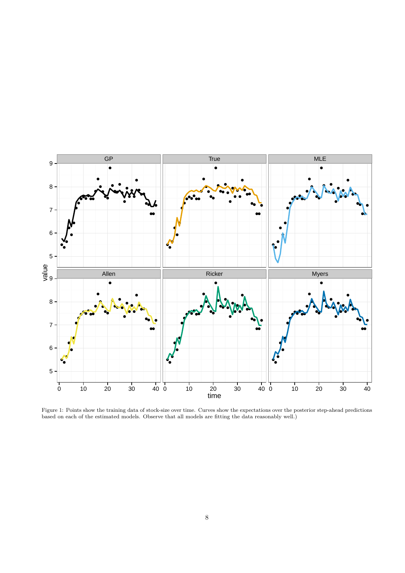

Figure 1: Points show the training data of stock-size over time. Curves show the expectations over the posterior step-ahead predictions based on each of the estimated models. Observe that all models are fitting the data reasonably well.)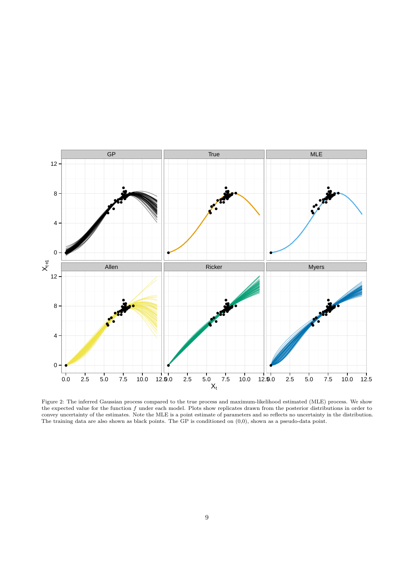

Figure 2: The inferred Gaussian process compared to the true process and maximum-likelihood estimated (MLE) process. We show the expected value for the function *f* under each model. Plots show replicates drawn from the posterior distributions in order to convey uncertainty of the estimates. Note the MLE is a point estimate of parameters and so reflects no uncertainty in the distribution. The training data are also shown as black points. The GP is conditioned on  $(0,0)$ , shown as a pseudo-data point.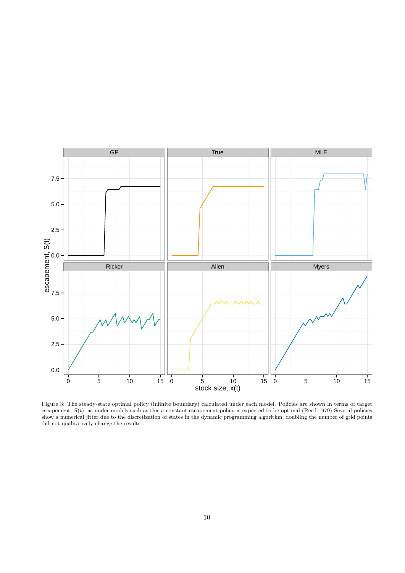

Figure 3: The steady-state optimal policy (infinite boundary) calculated under each model. Policies are shown in terms of target escapement, *S*(*t*), as under models such as this a constant escapement policy is expected to be optimal (Reed 1979) Several policies show a numerical jitter due to the discretization of states in the dynamic programming algorithm; doubling the number of grid points did not qualitatively change the results.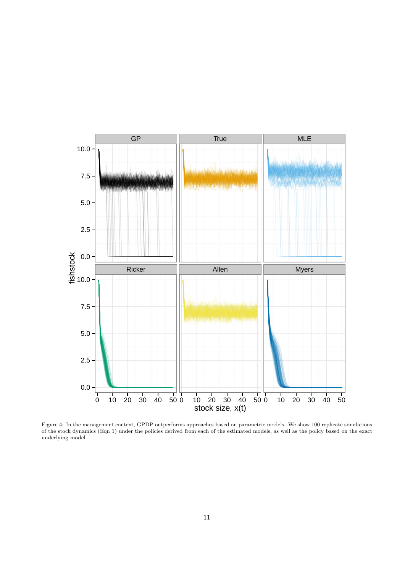

Figure 4: In the management context, GPDP outperforms approaches based on parametric models. We show 100 replicate simulations of the stock dynamics (Eqn 1) under the policies derived from each of the estimated models, as well as the policy based on the exact underlying model.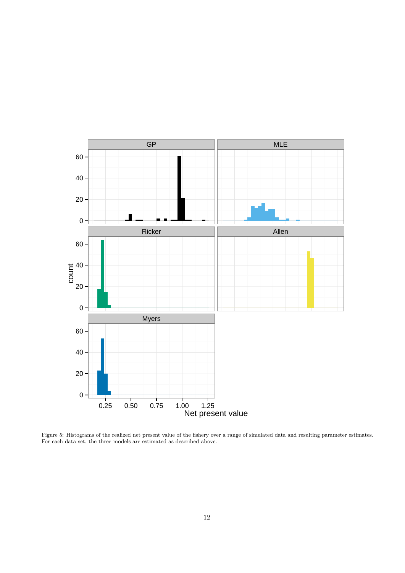

Figure 5: Histograms of the realized net present value of the fishery over a range of simulated data and resulting parameter estimates. For each data set, the three models are estimated as described above.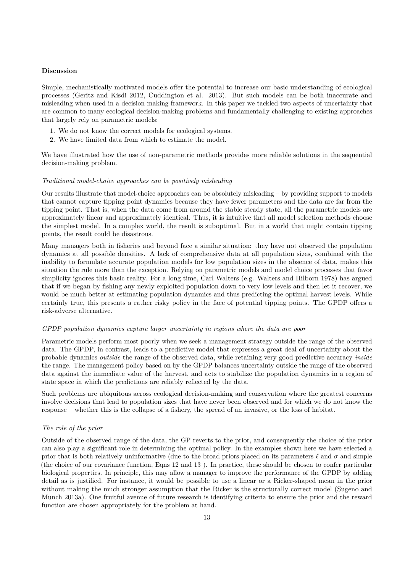# **Discussion**

Simple, mechanistically motivated models offer the potential to increase our basic understanding of ecological processes (Geritz and Kisdi 2012, Cuddington et al. 2013). But such models can be both inaccurate and misleading when used in a decision making framework. In this paper we tackled two aspects of uncertainty that are common to many ecological decision-making problems and fundamentally challenging to existing approaches that largely rely on parametric models:

- 1. We do not know the correct models for ecological systems.
- 2. We have limited data from which to estimate the model.

We have illustrated how the use of non-parametric methods provides more reliable solutions in the sequential decision-making problem.

#### *Traditional model-choice approaches can be positively misleading*

Our results illustrate that model-choice approaches can be absolutely misleading – by providing support to models that cannot capture tipping point dynamics because they have fewer parameters and the data are far from the tipping point. That is, when the data come from around the stable steady state, all the parametric models are approximately linear and approximately identical. Thus, it is intuitive that all model selection methods choose the simplest model. In a complex world, the result is suboptimal. But in a world that might contain tipping points, the result could be disastrous.

Many managers both in fisheries and beyond face a similar situation: they have not observed the population dynamics at all possible densities. A lack of comprehensive data at all population sizes, combined with the inability to formulate accurate population models for low population sizes in the absence of data, makes this situation the rule more than the exception. Relying on parametric models and model choice processes that favor simplicity ignores this basic reality. For a long time, Carl Walters (e.g. Walters and Hilborn 1978) has argued that if we began by fishing any newly exploited population down to very low levels and then let it recover, we would be much better at estimating population dynamics and thus predicting the optimal harvest levels. While certainly true, this presents a rather risky policy in the face of potential tipping points. The GPDP offers a risk-adverse alternative.

### *GPDP population dynamics capture larger uncertainty in regions where the data are poor*

Parametric models perform most poorly when we seek a management strategy outside the range of the observed data. The GPDP, in contrast, leads to a predictive model that expresses a great deal of uncertainty about the probable dynamics *outside* the range of the observed data, while retaining very good predictive accuracy *inside* the range. The management policy based on by the GPDP balances uncertainty outside the range of the observed data against the immediate value of the harvest, and acts to stabilize the population dynamics in a region of state space in which the predictions are reliably reflected by the data.

Such problems are ubiquitous across ecological decision-making and conservation where the greatest concerns involve decisions that lead to population sizes that have never been observed and for which we do not know the response – whether this is the collapse of a fishery, the spread of an invasive, or the loss of habitat.

# *The role of the prior*

Outside of the observed range of the data, the GP reverts to the prior, and consequently the choice of the prior can also play a significant role in determining the optimal policy. In the examples shown here we have selected a prior that is both relatively uninformative (due to the broad priors placed on its parameters  $\ell$  and  $\sigma$  and simple (the choice of our covariance function, Eqns 12 and 13 ). In practice, these should be chosen to confer particular biological properties. In principle, this may allow a manager to improve the performance of the GPDP by adding detail as is justified. For instance, it would be possible to use a linear or a Ricker-shaped mean in the prior without making the much stronger assumption that the Ricker is the structurally correct model (Sugeno and Munch 2013a). One fruitful avenue of future research is identifying criteria to ensure the prior and the reward function are chosen appropriately for the problem at hand.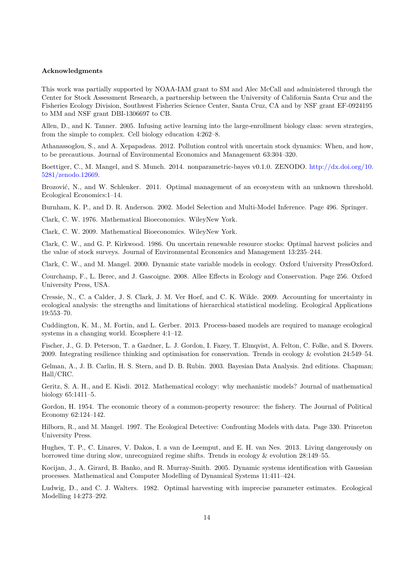# **Acknowledgments**

This work was partially supported by NOAA-IAM grant to SM and Alec McCall and administered through the Center for Stock Assessment Research, a partnership between the University of California Santa Cruz and the Fisheries Ecology Division, Southwest Fisheries Science Center, Santa Cruz, CA and by NSF grant EF-0924195 to MM and NSF grant DBI-1306697 to CB.

Allen, D., and K. Tanner. 2005. Infusing active learning into the large-enrollment biology class: seven strategies, from the simple to complex. Cell biology education 4:262–8.

Athanassoglou, S., and A. Xepapadeas. 2012. Pollution control with uncertain stock dynamics: When, and how, to be precautious. Journal of Environmental Economics and Management 63:304–320.

Boettiger, C., M. Mangel, and S. Munch. 2014. nonparametric-bayes v0.1.0. ZENODO. [http://dx.doi.org/10.](http://dx.doi.org/10.5281/zenodo.12669) [5281/zenodo.12669.](http://dx.doi.org/10.5281/zenodo.12669)

Brozović, N., and W. Schlenker. 2011. Optimal management of an ecosystem with an unknown threshold. Ecological Economics:1–14.

Burnham, K. P., and D. R. Anderson. 2002. Model Selection and Multi-Model Inference. Page 496. Springer.

Clark, C. W. 1976. Mathematical Bioeconomics. WileyNew York.

Clark, C. W. 2009. Mathematical Bioeconomics. WileyNew York.

Clark, C. W., and G. P. Kirkwood. 1986. On uncertain renewable resource stocks: Optimal harvest policies and the value of stock surveys. Journal of Environmental Economics and Management 13:235–244.

Clark, C. W., and M. Mangel. 2000. Dynamic state variable models in ecology. Oxford University PressOxford.

Courchamp, F., L. Berec, and J. Gascoigne. 2008. Allee Effects in Ecology and Conservation. Page 256. Oxford University Press, USA.

Cressie, N., C. a Calder, J. S. Clark, J. M. Ver Hoef, and C. K. Wikle. 2009. Accounting for uncertainty in ecological analysis: the strengths and limitations of hierarchical statistical modeling. Ecological Applications 19:553–70.

Cuddington, K. M., M. Fortin, and L. Gerber. 2013. Process-based models are required to manage ecological systems in a changing world. Ecosphere 4:1–12.

Fischer, J., G. D. Peterson, T. a Gardner, L. J. Gordon, I. Fazey, T. Elmqvist, A. Felton, C. Folke, and S. Dovers. 2009. Integrating resilience thinking and optimisation for conservation. Trends in ecology & evolution 24:549–54.

Gelman, A., J. B. Carlin, H. S. Stern, and D. B. Rubin. 2003. Bayesian Data Analysis. 2nd editions. Chapman; Hall/CRC.

Geritz, S. A. H., and E. Kisdi. 2012. Mathematical ecology: why mechanistic models? Journal of mathematical biology 65:1411–5.

Gordon, H. 1954. The economic theory of a common-property resource: the fishery. The Journal of Political Economy 62:124–142.

Hilborn, R., and M. Mangel. 1997. The Ecological Detective: Confronting Models with data. Page 330. Princeton University Press.

Hughes, T. P., C. Linares, V. Dakos, I. a van de Leemput, and E. H. van Nes. 2013. Living dangerously on borrowed time during slow, unrecognized regime shifts. Trends in ecology & evolution 28:149–55.

Kocijan, J., A. Girard, B. Banko, and R. Murray-Smith. 2005. Dynamic systems identification with Gaussian processes. Mathematical and Computer Modelling of Dynamical Systems 11:411–424.

Ludwig, D., and C. J. Walters. 1982. Optimal harvesting with imprecise parameter estimates. Ecological Modelling 14:273–292.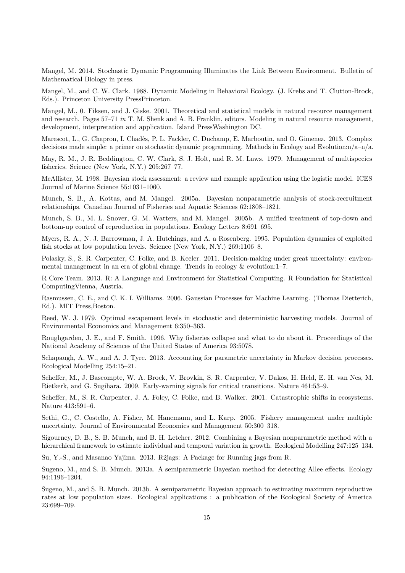Mangel, M. 2014. Stochastic Dynamic Programming Illuminates the Link Between Environment. Bulletin of Mathematical Biology in press.

Mangel, M., and C. W. Clark. 1988. Dynamic Modeling in Behavioral Ecology. (J. Krebs and T. Clutton-Brock, Eds.). Princeton University PressPrinceton.

Mangel, M., 0. Fiksen, and J. Giske. 2001. Theoretical and statistical models in natural resource management and research. Pages 57–71 *in* T. M. Shenk and A. B. Franklin, editors. Modeling in natural resource management, development, interpretation and application. Island PressWashington DC.

Marescot, L., G. Chapron, I. Chadès, P. L. Fackler, C. Duchamp, E. Marboutin, and O. Gimenez. 2013. Complex decisions made simple: a primer on stochastic dynamic programming. Methods in Ecology and Evolution: $n/a-n/a$ .

May, R. M., J. R. Beddington, C. W. Clark, S. J. Holt, and R. M. Laws. 1979. Management of multispecies fisheries. Science (New York, N.Y.) 205:267–77.

McAllister, M. 1998. Bayesian stock assessment: a review and example application using the logistic model. ICES Journal of Marine Science 55:1031–1060.

Munch, S. B., A. Kottas, and M. Mangel. 2005a. Bayesian nonparametric analysis of stock-recruitment relationships. Canadian Journal of Fisheries and Aquatic Sciences 62:1808–1821.

Munch, S. B., M. L. Snover, G. M. Watters, and M. Mangel. 2005b. A unified treatment of top-down and bottom-up control of reproduction in populations. Ecology Letters 8:691–695.

Myers, R. A., N. J. Barrowman, J. A. Hutchings, and A. a Rosenberg. 1995. Population dynamics of exploited fish stocks at low population levels. Science (New York, N.Y.) 269:1106–8.

Polasky, S., S. R. Carpenter, C. Folke, and B. Keeler. 2011. Decision-making under great uncertainty: environmental management in an era of global change. Trends in ecology & evolution:1–7.

R Core Team. 2013. R: A Language and Environment for Statistical Computing. R Foundation for Statistical ComputingVienna, Austria.

Rasmussen, C. E., and C. K. I. Williams. 2006. Gaussian Processes for Machine Learning. (Thomas Dietterich, Ed.). MIT Press,Boston.

Reed, W. J. 1979. Optimal escapement levels in stochastic and deterministic harvesting models. Journal of Environmental Economics and Management 6:350–363.

Roughgarden, J. E., and F. Smith. 1996. Why fisheries collapse and what to do about it. Proceedings of the National Academy of Sciences of the United States of America 93:5078.

Schapaugh, A. W., and A. J. Tyre. 2013. Accounting for parametric uncertainty in Markov decision processes. Ecological Modelling 254:15–21.

Scheffer, M., J. Bascompte, W. A. Brock, V. Brovkin, S. R. Carpenter, V. Dakos, H. Held, E. H. van Nes, M. Rietkerk, and G. Sugihara. 2009. Early-warning signals for critical transitions. Nature 461:53–9.

Scheffer, M., S. R. Carpenter, J. A. Foley, C. Folke, and B. Walker. 2001. Catastrophic shifts in ecosystems. Nature 413:591–6.

Sethi, G., C. Costello, A. Fisher, M. Hanemann, and L. Karp. 2005. Fishery management under multiple uncertainty. Journal of Environmental Economics and Management 50:300–318.

Sigourney, D. B., S. B. Munch, and B. H. Letcher. 2012. Combining a Bayesian nonparametric method with a hierarchical framework to estimate individual and temporal variation in growth. Ecological Modelling 247:125–134.

Su, Y.-S., and Masanao Yajima. 2013. R2jags: A Package for Running jags from R.

Sugeno, M., and S. B. Munch. 2013a. A semiparametric Bayesian method for detecting Allee effects. Ecology 94:1196–1204.

Sugeno, M., and S. B. Munch. 2013b. A semiparametric Bayesian approach to estimating maximum reproductive rates at low population sizes. Ecological applications : a publication of the Ecological Society of America 23:699–709.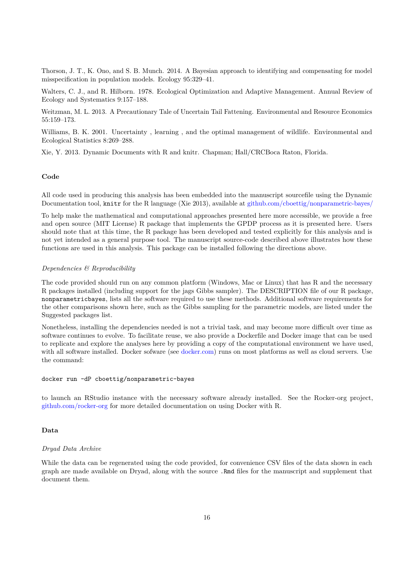Thorson, J. T., K. Ono, and S. B. Munch. 2014. A Bayesian approach to identifying and compensating for model misspecification in population models. Ecology 95:329–41.

Walters, C. J., and R. Hilborn. 1978. Ecological Optimization and Adaptive Management. Annual Review of Ecology and Systematics 9:157–188.

Weitzman, M. L. 2013. A Precautionary Tale of Uncertain Tail Fattening. Environmental and Resource Economics 55:159–173.

Williams, B. K. 2001. Uncertainty, learning, and the optimal management of wildlife. Environmental and Ecological Statistics 8:269–288.

Xie, Y. 2013. Dynamic Documents with R and knitr. Chapman; Hall/CRCBoca Raton, Florida.

### **Code**

All code used in producing this analysis has been embedded into the manuscript sourcefile using the Dynamic Documentation tool, knitr for the R language (Xie 2013), available at [github.com/cboettig/nonparametric-bayes/](https://github.com/cboettig/nonparametric-bayes/)

To help make the mathematical and computational approaches presented here more accessible, we provide a free and open source (MIT License) R package that implements the GPDP process as it is presented here. Users should note that at this time, the R package has been developed and tested explicitly for this analysis and is not yet intended as a general purpose tool. The manuscript source-code described above illustrates how these functions are used in this analysis. This package can be installed following the directions above.

### *Dependencies & Reproducibility*

The code provided should run on any common platform (Windows, Mac or Linux) that has R and the necessary R packages installed (including support for the jags Gibbs sampler). The DESCRIPTION file of our R package, nonparametricbayes, lists all the software required to use these methods. Additional software requirements for the other comparisons shown here, such as the Gibbs sampling for the parametric models, are listed under the Suggested packages list.

Nonetheless, installing the dependencies needed is not a trivial task, and may become more difficult over time as software continues to evolve. To facilitate reuse, we also provide a Dockerfile and Docker image that can be used to replicate and explore the analyses here by providing a copy of the computational environment we have used, with all software installed. Docker sofware (see [docker.com\)](http://www.docker.com) runs on most platforms as well as cloud servers. Use the command:

# docker run -dP cboettig/nonparametric-bayes

to launch an RStudio instance with the necessary software already installed. See the Rocker-org project, [github.com/rocker-org](https://github.com/rocker-org) for more detailed documentation on using Docker with R.

# **Data**

# *Dryad Data Archive*

While the data can be regenerated using the code provided, for convenience CSV files of the data shown in each graph are made available on Dryad, along with the source .Rmd files for the manuscript and supplement that document them.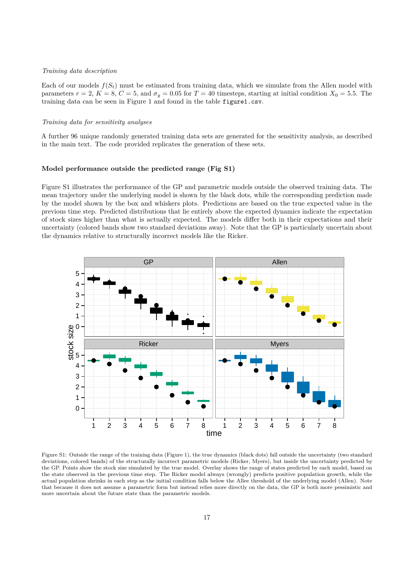# *Training data description*

Each of our models  $f(S_t)$  must be estimated from training data, which we simulate from the Allen model with parameters  $r = 2$ ,  $K = 8$ ,  $C = 5$ , and  $\sigma_g = 0.05$  for  $T = 40$  timesteps, starting at initial condition  $X_0 = 5.5$ . The training data can be seen in Figure 1 and found in the table figure1.csv.

## *Training data for sensitivity analyses*

A further 96 unique randomly generated training data sets are generated for the sensitivity analysis, as described in the main text. The code provided replicates the generation of these sets.

## **Model performance outside the predicted range (Fig S1)**

Figure S1 illustrates the performance of the GP and parametric models outside the observed training data. The mean trajectory under the underlying model is shown by the black dots, while the corresponding prediction made by the model shown by the box and whiskers plots. Predictions are based on the true expected value in the previous time step. Predicted distributions that lie entirely above the expected dynamics indicate the expectation of stock sizes higher than what is actually expected. The models differ both in their expectations and their uncertainty (colored bands show two standard deviations away). Note that the GP is particularly uncertain about the dynamics relative to structurally incorrect models like the Ricker.



Figure S1: Outside the range of the training data (Figure 1), the true dynamics (black dots) fall outside the uncertainty (two standard deviations, colored bands) of the structurally incorrect parametric models (Ricker, Myers), but inside the uncertainty predicted by the GP. Points show the stock size simulated by the true model. Overlay shows the range of states predicted by each model, based on the state observed in the previous time step. The Ricker model always (wrongly) predicts positive population growth, while the actual population shrinks in each step as the initial condition falls below the Allee threshold of the underlying model (Allen). Note that because it does not assume a parametric form but instead relies more directly on the data, the GP is both more pessimistic and more uncertain about the future state than the parametric models.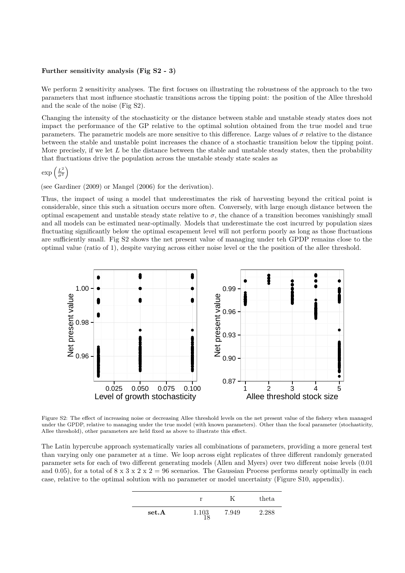# **Further sensitivity analysis (Fig S2 - 3)**

We perform 2 sensitivity analyses. The first focuses on illustrating the robustness of the approach to the two parameters that most influence stochastic transitions across the tipping point: the position of the Allee threshold and the scale of the noise (Fig S2).

Changing the intensity of the stochasticity or the distance between stable and unstable steady states does not impact the performance of the GP relative to the optimal solution obtained from the true model and true parameters. The parametric models are more sensitive to this difference. Large values of  $\sigma$  relative to the distance between the stable and unstable point increases the chance of a stochastic transition below the tipping point. More precisely, if we let *L* be the distance between the stable and unstable steady states, then the probability that fluctuations drive the population across the unstable steady state scales as

$$
\exp\left(\frac{L^2}{\sigma^2}\right)
$$

(see Gardiner (2009) or Mangel (2006) for the derivation).

Thus, the impact of using a model that underestimates the risk of harvesting beyond the critical point is considerable, since this such a situation occurs more often. Conversely, with large enough distance between the optimal escapement and unstable steady state relative to  $\sigma$ , the chance of a transition becomes vanishingly small and all models can be estimated near-optimally. Models that underestimate the cost incurred by population sizes fluctuating significantly below the optimal escapement level will not perform poorly as long as those fluctuations are sufficiently small. Fig S2 shows the net present value of managing under teh GPDP remains close to the optimal value (ratio of 1), despite varying across either noise level or the the position of the allee threshold.



Figure S2: The effect of increasing noise or decreasing Allee threshold levels on the net present value of the fishery when managed under the GPDP, relative to managing under the true model (with known parameters). Other than the focal parameter (stochasticity, Allee threshold), other parameters are held fixed as above to illustrate this effect.

The Latin hypercube approach systematically varies all combinations of parameters, providing a more general test than varying only one parameter at a time. We loop across eight replicates of three different randomly generated parameter sets for each of two different generating models (Allen and Myers) over two different noise levels (0.01 and 0.05), for a total of  $8 \times 3 \times 2 \times 2 = 96$  scenarios. The Gaussian Process performs nearly optimally in each case, relative to the optimal solution with no parameter or model uncertainty (Figure S10, appendix).

|       | r     |       | theta |
|-------|-------|-------|-------|
| set.A | 1.103 | 7.949 | 2.288 |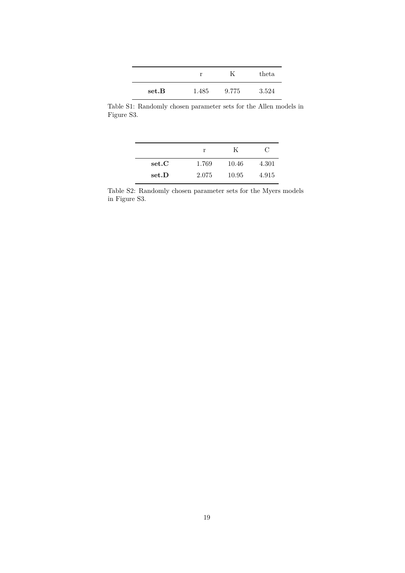|       |       |       | theta |
|-------|-------|-------|-------|
| set.B | 1.485 | 9.775 | 3.524 |

Table S1: Randomly chosen parameter sets for the Allen models in Figure S3.

|       | r     | K     | €     |
|-------|-------|-------|-------|
| set.C | 1.769 | 10.46 | 4.301 |
| set.D | 2.075 | 10.95 | 4.915 |

Table S2: Randomly chosen parameter sets for the Myers models in Figure S3.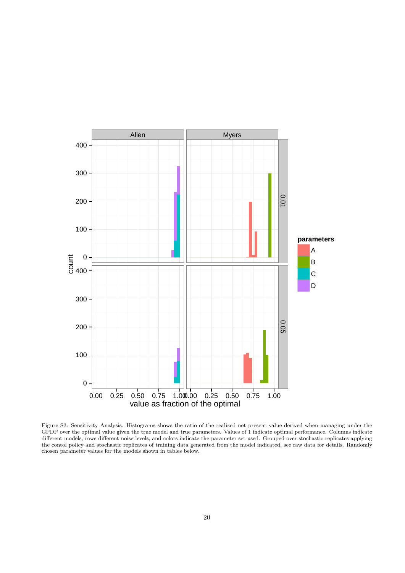

Figure S3: Sensitivity Analysis. Histograms shows the ratio of the realized net present value derived when managing under the GPDP over the optimal value given the true model and true parameters. Values of 1 indicate optimal performance. Columns indicate different models, rows different noise levels, and colors indicate the parameter set used. Grouped over stochastic replicates applying the contol policy and stochastic replicates of training data generated from the model indicated, see raw data for details. Randomly chosen parameter values for the models shown in tables below.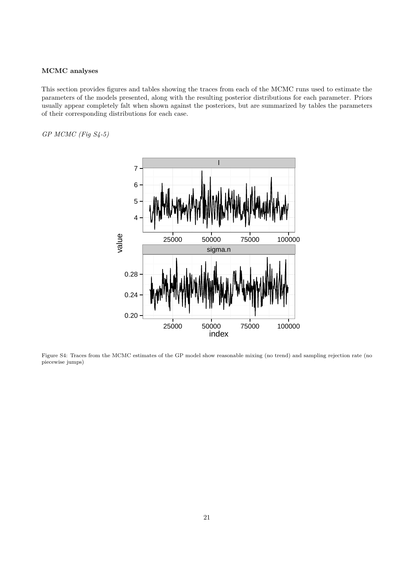# **MCMC analyses**

This section provides figures and tables showing the traces from each of the MCMC runs used to estimate the parameters of the models presented, along with the resulting posterior distributions for each parameter. Priors usually appear completely falt when shown against the posteriors, but are summarized by tables the parameters of their corresponding distributions for each case.

*GP MCMC (Fig S4-5)*



Figure S4: Traces from the MCMC estimates of the GP model show reasonable mixing (no trend) and sampling rejection rate (no piecewise jumps)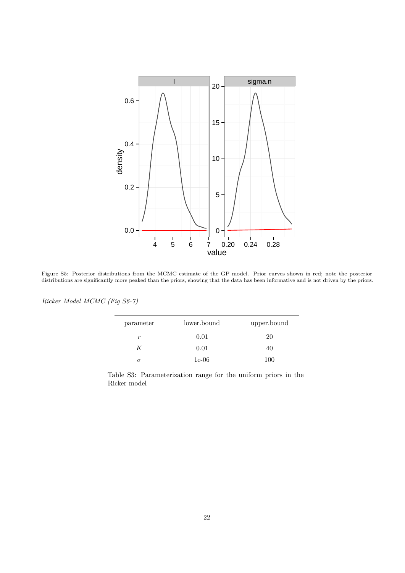

Figure S5: Posterior distributions from the MCMC estimate of the GP model. Prior curves shown in red; note the posterior distributions are significantly more peaked than the priors, showing that the data has been informative and is not driven by the priors.

| parameter | lower.bound | upper.bound |
|-----------|-------------|-------------|
| r         | 0.01        | 20          |
| K         | 0.01        | 40          |
| $\sigma$  | $1e-06$     | 100         |

*Ricker Model MCMC (Fig S6-7)*

Table S3: Parameterization range for the uniform priors in the Ricker model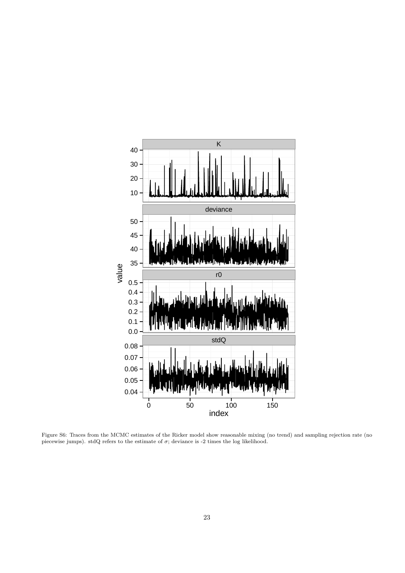

Figure S6: Traces from the MCMC estimates of the Ricker model show reasonable mixing (no trend) and sampling rejection rate (no piecewise jumps). stdQ refers to the estimate of  $\sigma$ ; deviance is -2 times the log likelihood.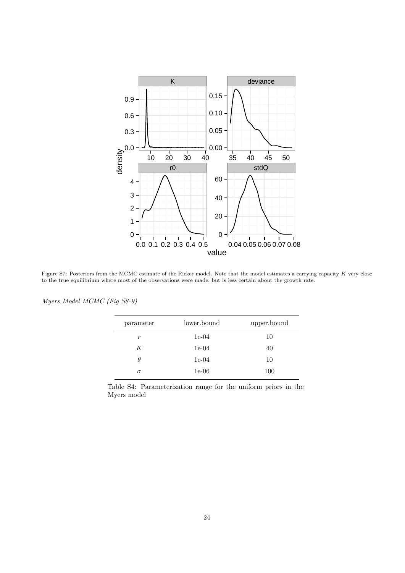

Figure S7: Posteriors from the MCMC estimate of the Ricker model. Note that the model estimates a carrying capacity *K* very close to the true equilibrium where most of the observations were made, but is less certain about the growth rate.

| parameter | lower.bound | upper.bound |
|-----------|-------------|-------------|
| r         | $1e-04$     | 10          |
| K         | $1e-04$     | 40          |
| θ         | $1e-04$     | 10          |
| $\sigma$  | $1e-06$     | 100         |

*Myers Model MCMC (Fig S8-9)*

Table S4: Parameterization range for the uniform priors in the Myers model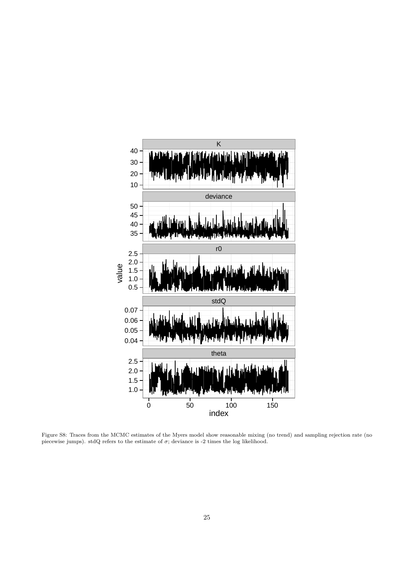

Figure S8: Traces from the MCMC estimates of the Myers model show reasonable mixing (no trend) and sampling rejection rate (no piecewise jumps). stdQ refers to the estimate of  $\sigma$ ; deviance is -2 times the log likelihood.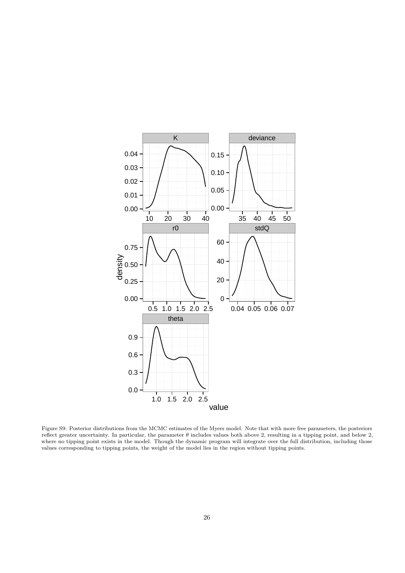

Figure S9: Posterior distributions from the MCMC estimates of the Myers model. Note that with more free parameters, the posteriors reflect greater uncertainty. In particular, the parameter *θ* includes values both above 2, resulting in a tipping point, and below 2, where no tipping point exists in the model. Though the dynamic program will integrate over the full distribution, including those values corresponding to tipping points, the weight of the model lies in the region without tipping points.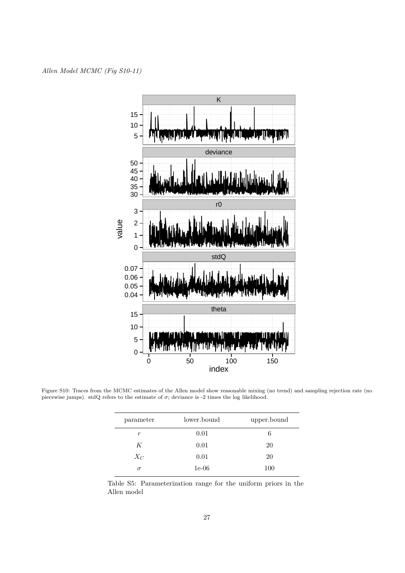

Figure S10: Traces from the MCMC estimates of the Allen model show reasonable mixing (no trend) and sampling rejection rate (no piecewise jumps). stdQ refers to the estimate of  $\sigma$ ; deviance is -2 times the log likelihood.

| parameter | lower.bound | upper.bound |
|-----------|-------------|-------------|
| r         | 0.01        | 6           |
| K         | 0.01        | 20          |
| $X_C$     | 0.01        | 20          |
| σ         | $1e-06$     | 100         |

Table S5: Parameterization range for the uniform priors in the Allen model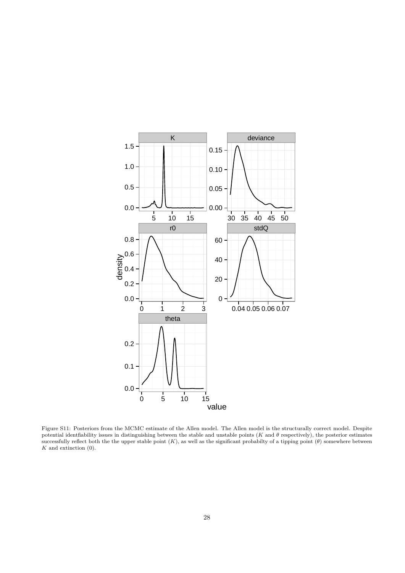

Figure S11: Posteriors from the MCMC estimate of the Allen model. The Allen model is the structurally correct model. Despite potential identfiability issues in distinguishing between the stable and unstable points ( $K$  and  $\theta$  respectively), the posterior estimates successfully reflect both the the upper stable point (*K*), as well as the significant probabilty of a tipping point (*θ*) somewhere between *K* and extinction (0).